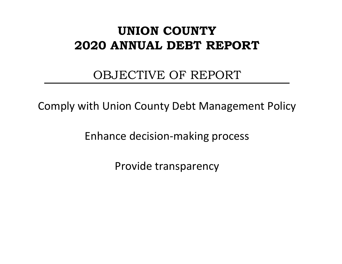# **UNION COUNTY 2020 ANNUAL DEBT REPORT**

# OBJECTIVE OF REPORT

Comply with Union County Debt Management Policy

Enhance decision-making process

Provide transparency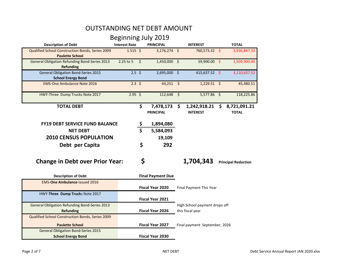### OUTSTANDING NET DEBT AMOUNT

Beginning July 2019

| <b>Description of Debt</b>                                                 | <b>Interest Rate</b> |               | <b>PRINCIPAL</b>              | <b>INTEREST</b>                       | <b>TOTAL</b> |                              |  |  |  |  |
|----------------------------------------------------------------------------|----------------------|---------------|-------------------------------|---------------------------------------|--------------|------------------------------|--|--|--|--|
| Qualified School Construction Bonds, Series 2009<br><b>Paulette School</b> | $1.515$ \$           |               | $3,176,274$ \$                | 760,573.32 \$                         |              | 3,936,847.32                 |  |  |  |  |
| <b>General Obligation Refunding Bond-Series 2013</b><br><b>Refunding</b>   | 2.25 to 5            | \$            | 1,450,000 \$                  | 59,900.00 \$                          |              | 1,509,900.00                 |  |  |  |  |
| <b>General Obligation Bond-Series 2015</b><br><b>School Energy Bond</b>    | $2.5$ \$             |               | 2,695,000 \$                  | 415,637.52 \$                         |              | 3,110,637.52                 |  |  |  |  |
| <b>EMS-One Ambulance Note 2016</b>                                         | $2.3 \; \simeq$      |               | $44,251$ \$                   | $1,229.51$ \$                         |              | 45,480.51                    |  |  |  |  |
| HWY-Three Dump Trucks Note 2017                                            | $2.95$ \$            |               | $112,648$ \$                  | $5,577.86$ \$                         |              | 118,225.86                   |  |  |  |  |
| <b>TOTAL DEBT</b>                                                          |                      | \$            | 7,478,173<br><b>PRINCIPAL</b> | \$<br>1,242,918.21<br><b>INTEREST</b> | \$           | 8,721,091.21<br><b>TOTAL</b> |  |  |  |  |
| <b>FY19 DEBT SERVICE FUND BALANCE</b>                                      |                      |               | 1,894,080                     |                                       |              |                              |  |  |  |  |
| <b>NET DEBT</b>                                                            |                      | $\frac{5}{5}$ | 5,584,093                     |                                       |              |                              |  |  |  |  |
| <b>2010 CENSUS POPULATION</b>                                              |                      |               | 19,109                        |                                       |              |                              |  |  |  |  |
| Debt per Capita                                                            |                      | \$            | 292                           |                                       |              |                              |  |  |  |  |
| <b>Change in Debt over Prior Year:</b>                                     |                      | \$            |                               | 1,704,343                             |              | <b>Principal Reduction</b>   |  |  |  |  |
| <b>Description of Debt</b>                                                 |                      |               | <b>Final Payment Due</b>      |                                       |              |                              |  |  |  |  |
| <b>EMS-One Ambulance-issued 2016</b>                                       |                      |               | Fiscal Year 2020              | Final Payment This Year               |              |                              |  |  |  |  |
| HWY-Three Dump Trucks Note 2017                                            |                      |               | Fiscal Year 2021              |                                       |              |                              |  |  |  |  |
| <b>General Obligation Refunding Bond-Series 2013</b>                       |                      |               |                               | High School payment drops off         |              |                              |  |  |  |  |
| <b>Refunding</b>                                                           |                      |               | <b>Fiscal Year 2026</b>       | this fiscal year                      |              |                              |  |  |  |  |
| Qualified School Construction Bonds, Series 2009                           |                      |               |                               |                                       |              |                              |  |  |  |  |
| <b>Paulette School</b>                                                     |                      |               | Fiscal Year 2027              | Final payment September, 2026         |              |                              |  |  |  |  |
| <b>General Obligation Bond-Series 2015</b><br><b>School Energy Bond</b>    |                      |               | <b>Fiscal Year 2030</b>       |                                       |              |                              |  |  |  |  |
|                                                                            |                      |               |                               |                                       |              |                              |  |  |  |  |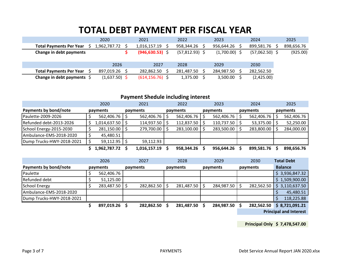## **TOTAL DEBT PAYMENT PER FISCAL YEAR**

| 2020<br>2022<br>2024<br>2021<br>2023<br>899,581.76<br>958,344.26<br>956,644.26<br>1,962,787.72<br>1,016,157.19<br><b>Total Payments Per Year</b><br>$(946, 630.53)$ \$<br>Change in debt payments<br>$(57,812.93)$ \$<br>$(57,062.50)$ \$<br>$(1,700.00)$ \$<br>2026<br>2027<br>2028<br>2030<br>2029<br>282,862.50<br>281,487.50<br>284,987.50<br>282,562.50<br><b>Total Payments Per Year</b><br>897,019.26<br>$(614, 156.76)$ \$<br>$(1,637.50)$ \$ |                                    |  |  |          |          |            |            |
|-------------------------------------------------------------------------------------------------------------------------------------------------------------------------------------------------------------------------------------------------------------------------------------------------------------------------------------------------------------------------------------------------------------------------------------------------------|------------------------------------|--|--|----------|----------|------------|------------|
|                                                                                                                                                                                                                                                                                                                                                                                                                                                       |                                    |  |  |          |          |            | 2025       |
|                                                                                                                                                                                                                                                                                                                                                                                                                                                       |                                    |  |  |          |          |            | 898,656.76 |
|                                                                                                                                                                                                                                                                                                                                                                                                                                                       |                                    |  |  |          |          |            | (925.00)   |
|                                                                                                                                                                                                                                                                                                                                                                                                                                                       |                                    |  |  |          |          |            |            |
|                                                                                                                                                                                                                                                                                                                                                                                                                                                       |                                    |  |  |          |          |            |            |
|                                                                                                                                                                                                                                                                                                                                                                                                                                                       |                                    |  |  |          |          |            |            |
|                                                                                                                                                                                                                                                                                                                                                                                                                                                       | Change in debt payments $\Diamond$ |  |  | 1,375.00 | 3,500.00 | (2,425.00) |            |

### **Payment Shedule including interest**

|                           | 2020         | 2021         | 2022       | 2023       | 2024       | 2025       |
|---------------------------|--------------|--------------|------------|------------|------------|------------|
| Payments by bond/note     | payments     | payments     | payments   | payments   | payments   | payments   |
| Paulette-2009-2026        | 562,406.76   | 562,406.76   | 562,406.76 | 562,406.76 | 562,406.76 | 562,406.76 |
| Refunded debt-2013-2026   | 1,014,637.50 | 114,937.50   | 112,837.50 | 110,737.50 | 53,375.00  | 52,250.00  |
| School Energy-2015-2030   | 281,150.00   | 279,700.00   | 283,100.00 | 283,500.00 | 283,800.00 | 284,000.00 |
| Ambulance-EMS-2018-2020   | 45,480.51    |              |            |            |            |            |
| Dump Trucks-HWY-2018-2021 | 59,112.95    | 59,112.93    |            |            |            |            |
|                           | 1,962,787.72 | 1,016,157.19 | 958,344.26 | 956,644.26 | 899,581.76 | 898,656.76 |

|                           | 2026       | 2027       | 2028       | 2029       | 2030       | <b>Total Debt</b>             |
|---------------------------|------------|------------|------------|------------|------------|-------------------------------|
| Payments by bond/note     | payments   | payments   | payments   | payments   | payments   | <b>Balance</b>                |
| Paulette                  | 562,406.76 |            |            |            |            | \$3,936,847.32                |
| Refunded debt             | 51,125.00  |            |            |            |            | \$1,509,900.00                |
| School Energy             | 283,487.50 | 282,862.50 | 281,487.50 | 284,987.50 | 282,562.50 | \$3,110,637.50                |
| Ambulance-EMS-2018-2020   |            |            |            |            |            | 45,480.51                     |
| Dump Trucks-HWY-2018-2021 |            |            |            |            |            | 118,225.88                    |
|                           | 897,019.26 | 282,862.50 | 281,487.50 | 284,987.50 | 282,562.50 | \$8,721,091.21                |
|                           |            |            |            |            |            | <b>Principal and Interest</b> |

**Principal Only \$ 7,478,547.00**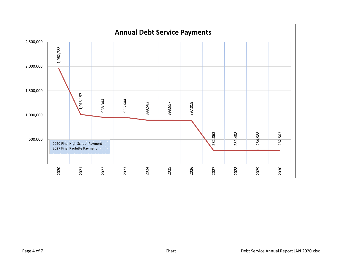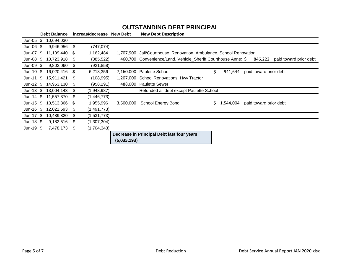|            |     | <b>Debt Balance</b> |    | increas/decrease | <b>New Debt</b> | <b>New Debt Description</b>                                                                         |
|------------|-----|---------------------|----|------------------|-----------------|-----------------------------------------------------------------------------------------------------|
| Jun-05     | S   | 10,694,030          |    |                  |                 |                                                                                                     |
| Jun-06     | S   | 9,946,956           | \$ | (747, 074)       |                 |                                                                                                     |
| Jun-07     | \$  | 11,109,440          | S  | 1,162,484        |                 | 1,707,900 Jail/Courthouse Renovation, Ambulance, School Renovation                                  |
| Jun-08     | \$. | 10,723,918          | \$ | (385,522)        |                 | 460,700 Convenience/Land, Vehicle_Sheriff, Courthouse Anne: \$<br>846,222<br>paid toward prior debt |
| Jun-09     | SБ. | 9,802,060           | \$ | (921,858)        |                 |                                                                                                     |
| $Jun-10$   | S   | 16,020,416          | \$ | 6,218,356        | 7,160,000       | \$<br><b>Paulette School</b><br>941,644<br>paid toward prior debt                                   |
| $Jun-11$   | \$. | 15,911,421          | \$ | (108,995)        |                 | 1,207,000 School Renovations_Hwy Tractor                                                            |
| Jun-12 $$$ |     | 14,953,130          | \$ | (958, 291)       |                 | 488,000 Paulette Sewer                                                                              |
| Jun-13 $$$ |     | 13,004,143          | \$ | (1,948,987)      |                 | Refunded all debt except Paulette School                                                            |
| Jun-14 $$$ |     | 11,557,370          | \$ | (1,446,773)      |                 |                                                                                                     |
| Jun-15 $$$ |     | 13,513,366          | S  | 1,955,996        | 3,500,000       | <b>School Energy Bond</b><br>\$<br>1,544,004<br>paid toward prior debt                              |
| Jun-16     | \$  | 12,021,593          | \$ | (1, 491, 773)    |                 |                                                                                                     |
| $Jun-17$   | \$  | 10,489,820          | \$ | (1,531,773)      |                 |                                                                                                     |
| Jun-18 $$$ |     | 9,182,516           | \$ | (1,307,304)      |                 |                                                                                                     |
| Jun-19 $$$ |     | 7,478,173           | \$ | (1,704,343)      |                 |                                                                                                     |
|            |     |                     |    |                  |                 | Decrease in Principal Debt last four years                                                          |
|            |     |                     |    |                  | (6,035,193)     |                                                                                                     |

### **OUTSTANDING DEBT PRINCIPAL**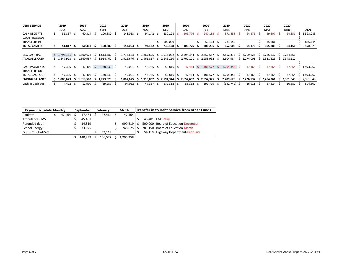| <b>DEBT SERVICE</b>   |    | 2019<br>JULY |     | 2019<br>AUG |     | 2019<br><b>SEPT</b> |     | 2019<br>OCT |     | 2019<br><b>NOV</b> |     | 2019<br><b>DEC</b> |   | 2020<br><b>JAN</b> |    | 2020<br><b>FEB</b> |    | 2020<br><b>MAR</b> |    | 2020<br><b>APR</b> |    | 2020<br>MAY |              | 2020<br><b>JUNE</b> |               | <b>TOTAL</b> |
|-----------------------|----|--------------|-----|-------------|-----|---------------------|-----|-------------|-----|--------------------|-----|--------------------|---|--------------------|----|--------------------|----|--------------------|----|--------------------|----|-------------|--------------|---------------------|---------------|--------------|
| <b>CASH RECEIPTS</b>  |    | 51,817       | - S | 60,314      | - 5 | 100,880 \$          |     | 143,053     | Ŝ.  | 94,142             | -S  | 230,128            |   | 105,776            |    | 247,183            | -S | 371,458            | -S | 64,375             | -S | 59,807      | Ŝ.           | 64,151              |               | 1,593,085    |
| <b>LOAN PROCEEDS</b>  |    |              |     |             |     |                     |     |             |     |                    |     |                    |   |                    |    |                    |    |                    |    |                    |    |             |              |                     |               |              |
| <b>TRANSFERS IN</b>   |    |              |     |             |     |                     |     |             |     |                    |     | 500,000            |   |                    |    | 59,113             |    | 281,150            |    |                    |    | 45,481      |              |                     |               | 885,744      |
| <b>TOTAL CASH IN</b>  |    | 51,817       | - S | 60,314      |     | 100,880             |     | 143,053     |     | 94,142             |     | $730,128$ \$       |   | 105,776            |    | 306,296            |    | 652,608            |    | 64,375             |    | 105,288     |              | 64,151              | $\mathcal{L}$ | 2,478,829    |
|                       |    |              |     |             |     |                     |     |             |     |                    |     |                    |   |                    |    |                    |    |                    |    |                    |    |             |              |                     |               |              |
| <b>BEG CASH BAL</b>   |    | \$1,796,181  | l S | 1,800,673   | S.  | 1,813,582 \$        |     | 1,773,623   |     | \$1,867,675        |     | \$1,915,032 S      |   | 2,594,344          | S. | 2,652,657          | -5 | 2,852,375          | 5  | 2,209,626          |    | \$2,226,537 |              | \$2,284,361         |               |              |
| <b>AVAILABLE CASH</b> |    | \$1,847,998  | -S. | 1,860,987   |     | 1,914,462           | - 5 | 1,916,676   | S.  | 1,961,817          |     | $$2,645,160$ $$$   |   | 2,700,121          | -S | 2,958,952          | 5  | 3,504,984          | 5  | 2,274,001          |    | \$2,331,825 |              | \$2,348,512         |               |              |
|                       |    |              |     |             |     |                     |     |             |     |                    |     |                    |   |                    |    |                    |    |                    |    |                    |    |             |              |                     |               |              |
| <b>CASH PAYMENTS</b>  | S. | $47,325$ \$  |     | 47,405 \$   |     | 140,839 \$          |     | 49,001 \$   |     | 46,785 \$          |     | 50,816             |   | $47,464$ \$        |    | 106,577            |    | $5$ 1,295,358 \$   |    | 47,464             | -S | 47,464 \$   |              | 47,464              |               | \$1,973,962  |
| <b>TRANSFERS OUT</b>  |    |              |     |             |     |                     |     |             |     |                    |     |                    |   |                    |    |                    |    |                    |    |                    |    |             |              |                     |               | . .          |
| <b>TOTAL CASH OUT</b> |    | 47,325       | - S | 47.405      |     | 140,839 \$          |     | 49,001      | - S | 46,785             | - S | $50,816$ \$        |   | 47,464             | -S | 106,577            |    | 1,295,358          |    | 47,464             | S. | 47.464      | -S           | 47,464              |               | \$1,973,962  |
| <b>ENDING BALANCE</b> |    | 1,800,673    | - 5 | 1,813,582   |     | 1,773,623           |     | 1,867,675   |     | 1,915,032          | 5   | 2,594,344          | s | 2,652,657          |    | 2,852,375          |    | 2,209,626          |    | 2,226,537          |    | 2,284,361   |              | 2,301,048           |               | 2,301,048    |
| Cash In-Cash out      |    | 4,492        | -S  | 12,909      |     | $(39,959)$ \$       |     | 94,052      | -S  | 47,357             | 5   | 679,312            |   | 58,312             |    | 199,719            |    | (642, 749)         | -5 | 16,911             | 5  | 57,824      | <sub>S</sub> | 16,687              |               | 504,867      |
|                       |    |              |     |             |     |                     |     |             |     |                    |     |                    |   |                    |    |                    |    |                    |    |                    |    |             |              |                     |               |              |

| <b>Payment Schedule Monthly</b> | September | February  | March     | <b>Transfer in to Debt Service from other Funds</b> |  |  |                                     |  |  |  |  |
|---------------------------------|-----------|-----------|-----------|-----------------------------------------------------|--|--|-------------------------------------|--|--|--|--|
| Paulette                        | 47.464    | 47.464 \$ | 47.464 \$ | 47,464                                              |  |  |                                     |  |  |  |  |
| Ambulance-EMS                   |           | 45.481    |           |                                                     |  |  | 45,481 EMS-May                      |  |  |  |  |
| Refunded debt                   |           | 14.819    |           | $999,819$ \$                                        |  |  | 500,000 Board of Education-December |  |  |  |  |
| School Energy                   |           | 33.075    |           | $248,075$ \$                                        |  |  | 281,150 Board of Education-March    |  |  |  |  |
| Dump Trucks-HWY                 |           |           | 59.113    |                                                     |  |  | 59,113 Highway Department-February  |  |  |  |  |

\$ 140,839 \$ 106,577 \$ 1,295,358